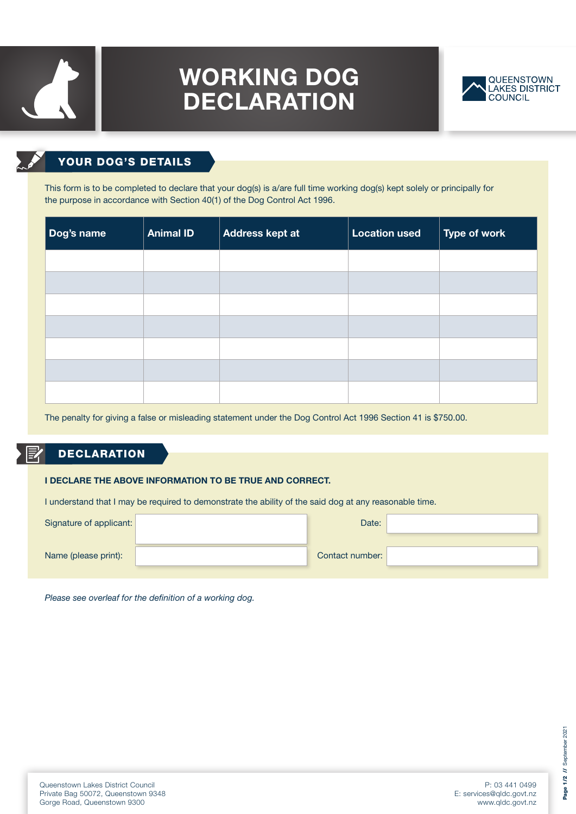# 

## WORKING DOG DECLARATION



### YOUR DOG'S DETAILS

This form is to be completed to declare that your dog(s) is a/are full time working dog(s) kept solely or principally for the purpose in accordance with Section 40(1) of the Dog Control Act 1996.

| Dog's name | <b>Animal ID</b> | Address kept at | <b>Location used</b> | Type of work |
|------------|------------------|-----------------|----------------------|--------------|
|            |                  |                 |                      |              |
|            |                  |                 |                      |              |
|            |                  |                 |                      |              |
|            |                  |                 |                      |              |
|            |                  |                 |                      |              |
|            |                  |                 |                      |              |
|            |                  |                 |                      |              |

The penalty for giving a false or misleading statement under the Dog Control Act 1996 Section 41 is \$750.00.

#### 厚 **DECLARATION**

#### I DECLARE THE ABOVE INFORMATION TO BE TRUE AND CORRECT.

I understand that I may be required to demonstrate the ability of the said dog at any reasonable time.

| Signature of applicant: | Date:           |  |
|-------------------------|-----------------|--|
| Name (please print):    | Contact number: |  |

*Please see overleaf for the definition of a working dog.*